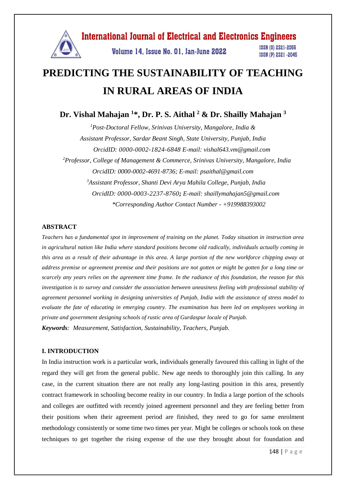

# **PREDICTING THE SUSTAINABILITY OF TEACHING IN RURAL AREAS OF INDIA**

**Dr. Vishal Mahajan <sup>1</sup>\*, Dr. P. S. Aithal <sup>2</sup> & Dr. Shailly Mahajan <sup>3</sup>**

*<sup>1</sup>Post-Doctoral Fellow, Srinivas University, Mangalore, India & Assistant Professor, Sardar Beant Singh, State University, Punjab, India OrcidID: 0000-0002-1824-6848 E-mail: vishal643.vm@gmail.com <sup>2</sup>Professor, College of Management & Commerce, Srinivas University, Mangalore, India OrcidID: 0000-0002-4691-8736; E-mail: [psaithal@gmail.com](mailto:psaithal@gmail.com) <sup>3</sup>Assistant Professor, Shanti Devi Arya Mahila College, Punjab, India OrcidID: 0000-0003-2237-8760; E-mail: shaillymahajan5@gmail.com \*Corresponding Author Contact Number - +919988393002*

#### **ABSTRACT**

*Teachers has a fundamental spot in improvement of training on the planet. Today situation in instruction area in agricultural nation like India where standard positions become old radically, individuals actually coming in this area as a result of their advantage in this area. A large portion of the new workforce chipping away at address premise or agreement premise and their positions are not gotten or might be gotten for a long time or scarcely any years relies on the agreement time frame. In the radiance of this foundation, the reason for this investigation is to survey and consider the association between uneasiness feeling with professional stability of agreement personnel working in designing universities of Punjab, India with the assistance of stress model to evaluate the fate of educating in emerging country. The examination has been led on employees working in private and government designing schools of rustic area of Gurdaspur locale of Punjab. Keywords: Measurement, Satisfaction, Sustainability, Teachers, Punjab.*

#### **I. INTRODUCTION**

In India instruction work is a particular work, individuals generally favoured this calling in light of the regard they will get from the general public. New age needs to thoroughly join this calling. In any case, in the current situation there are not really any long-lasting position in this area, presently contract framework in schooling become reality in our country. In India a large portion of the schools and colleges are outfitted with recently joined agreement personnel and they are feeling better from their positions when their agreement period are finished, they need to go for same enrolment methodology consistently or some time two times per year. Might be colleges or schools took on these techniques to get together the rising expense of the use they brought about for foundation and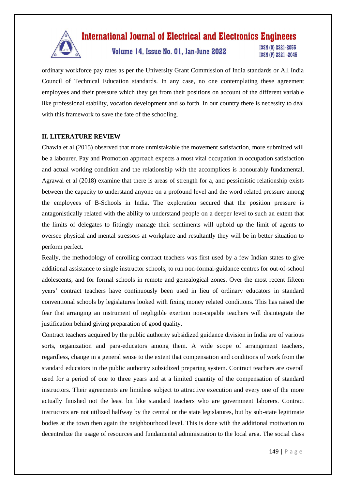

Volume 14, Issue No. 01, Jan-June 2022

**ISSN (0) 2321-2055** ISSN (P) 2321 -2045

ordinary workforce pay rates as per the University Grant Commission of India standards or All India Council of Technical Education standards. In any case, no one contemplating these agreement employees and their pressure which they get from their positions on account of the different variable like professional stability, vocation development and so forth. In our country there is necessity to deal with this framework to save the fate of the schooling.

### **II. LITERATURE REVIEW**

Chawla et al (2015) observed that more unmistakable the movement satisfaction, more submitted will be a labourer. Pay and Promotion approach expects a most vital occupation in occupation satisfaction and actual working condition and the relationship with the accomplices is honourably fundamental. Agrawal et al (2018) examine that there is areas of strength for a, and pessimistic relationship exists between the capacity to understand anyone on a profound level and the word related pressure among the employees of B-Schools in India. The exploration secured that the position pressure is antagonistically related with the ability to understand people on a deeper level to such an extent that the limits of delegates to fittingly manage their sentiments will uphold up the limit of agents to oversee physical and mental stressors at workplace and resultantly they will be in better situation to perform perfect.

Really, the methodology of enrolling contract teachers was first used by a few Indian states to give additional assistance to single instructor schools, to run non-formal-guidance centres for out-of-school adolescents, and for formal schools in remote and genealogical zones. Over the most recent fifteen years' contract teachers have continuously been used in lieu of ordinary educators in standard conventional schools by legislatures looked with fixing money related conditions. This has raised the fear that arranging an instrument of negligible exertion non-capable teachers will disintegrate the justification behind giving preparation of good quality.

Contract teachers acquired by the public authority subsidized guidance division in India are of various sorts, organization and para-educators among them. A wide scope of arrangement teachers, regardless, change in a general sense to the extent that compensation and conditions of work from the standard educators in the public authority subsidized preparing system. Contract teachers are overall used for a period of one to three years and at a limited quantity of the compensation of standard instructors. Their agreements are limitless subject to attractive execution and every one of the more actually finished not the least bit like standard teachers who are government laborers. Contract instructors are not utilized halfway by the central or the state legislatures, but by sub-state legitimate bodies at the town then again the neighbourhood level. This is done with the additional motivation to decentralize the usage of resources and fundamental administration to the local area. The social class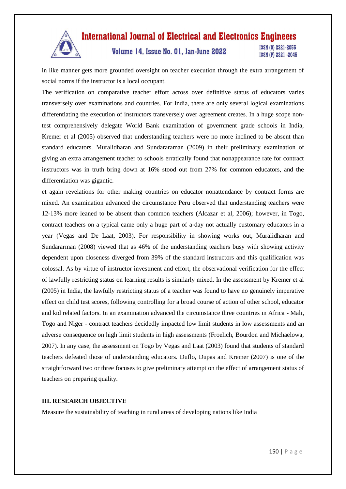

# Volume 14, Issue No. 01, Jan-June 2022

ISSN (0) 2321-2055 ISSN (P) 2321 -2045

in like manner gets more grounded oversight on teacher execution through the extra arrangement of social norms if the instructor is a local occupant.

The verification on comparative teacher effort across over definitive status of educators varies transversely over examinations and countries. For India, there are only several logical examinations differentiating the execution of instructors transversely over agreement creates. In a huge scope nontest comprehensively delegate World Bank examination of government grade schools in India, Kremer et al (2005) observed that understanding teachers were no more inclined to be absent than standard educators. Muralidharan and Sundararaman (2009) in their preliminary examination of giving an extra arrangement teacher to schools erratically found that nonappearance rate for contract instructors was in truth bring down at 16% stood out from 27% for common educators, and the differentiation was gigantic.

et again revelations for other making countries on educator nonattendance by contract forms are mixed. An examination advanced the circumstance Peru observed that understanding teachers were 12-13% more leaned to be absent than common teachers (Alcazar et al, 2006); however, in Togo, contract teachers on a typical came only a huge part of a-day not actually customary educators in a year (Vegas and De Laat, 2003). For responsibility in showing works out, Muralidharan and Sundararman (2008) viewed that as 46% of the understanding teachers busy with showing activity dependent upon closeness diverged from 39% of the standard instructors and this qualification was colossal. As by virtue of instructor investment and effort, the observational verification for the effect of lawfully restricting status on learning results is similarly mixed. In the assessment by Kremer et al (2005) in India, the lawfully restricting status of a teacher was found to have no genuinely imperative effect on child test scores, following controlling for a broad course of action of other school, educator and kid related factors. In an examination advanced the circumstance three countries in Africa - Mali, Togo and Niger - contract teachers decidedly impacted low limit students in low assessments and an adverse consequence on high limit students in high assessments (Froelich, Bourdon and Michaelowa, 2007). In any case, the assessment on Togo by Vegas and Laat (2003) found that students of standard teachers defeated those of understanding educators. Duflo, Dupas and Kremer (2007) is one of the straightforward two or three focuses to give preliminary attempt on the effect of arrangement status of teachers on preparing quality.

#### **III. RESEARCH OBJECTIVE**

Measure the sustainability of teaching in rural areas of developing nations like India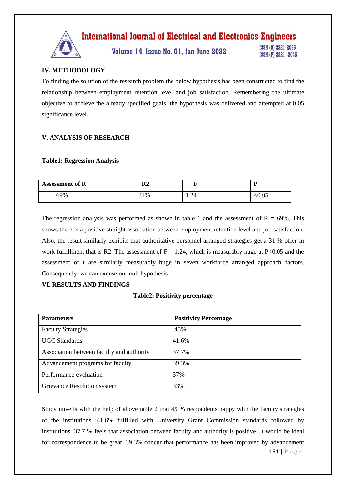

Volume 14, Issue No. 01, Jan-June 2022

ISSN (0) 2321-2055 ISSN (P) 2321 -2045

# **IV. METHODOLOGY**

To finding the solution of the research problem the below hypothesis has been constructed to find the relationship between employment retention level and job satisfaction. Remembering the ultimate objective to achieve the already specified goals, the hypothesis was delivered and attempted at 0.05 significance level.

# **V. ANALYSIS OF RESEARCH**

#### **Table1: Regression Analysis**

| <b>Assessment of R</b> | D٥<br>rz | -                     | n      |
|------------------------|----------|-----------------------|--------|
| 69%                    | 31%      | $\mathcal{L}$<br>1.24 | $0.05$ |

The regression analysis was performed as shown in table 1 and the assessment of  $R = 69\%$ . This shows there is a positive straight association between employment retention level and job satisfaction. Also, the result similarly exhibits that authoritative personnel arranged strategies get a 31 % offer in work fulfillment that is R2. The assessment of  $F = 1.24$ , which is measurably huge at P<0.05 and the assessment of t are similarly measurably huge in seven workforce arranged approach factors. Consequently, we can excuse our null hypothesis

### **VI. RESULTS AND FINDINGS**

### **Table2: Positivity percentage**

| <b>Parameters</b>                         | <b>Positivity Percentage</b> |
|-------------------------------------------|------------------------------|
| <b>Faculty Strategies</b>                 | 45%                          |
| <b>UGC</b> Standards                      | 41.6%                        |
| Association between faculty and authority | 37.7%                        |
| Advancement programs for faculty          | 39.3%                        |
| Performance evaluation                    | 37%                          |
| Grievance Resolution system               | 33%                          |

Study unveils with the help of above table 2 that 45 % respondents happy with the faculty strategies of the institutions, 41.6% fulfilled with University Grant Commission standards followed by institutions, 37.7 % feels that association between faculty and authority is positive. It would be ideal for correspondence to be great, 39.3% concur that performance has been improved by advancement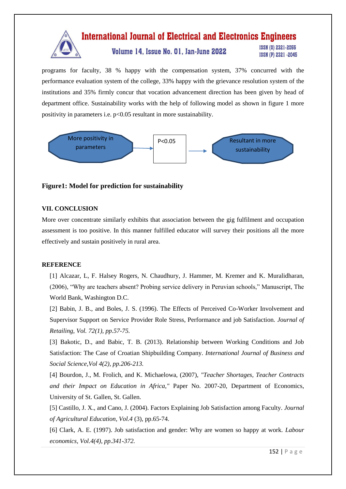### **International Journal of Electrical and Electronics Engineers ISSN (0) 2321-2055** Volume 14, Issue No. 01, Jan-June 2022 ISSN (P) 2321 -2045

programs for faculty, 38 % happy with the compensation system, 37% concurred with the performance evaluation system of the college, 33% happy with the grievance resolution system of the institutions and 35% firmly concur that vocation advancement direction has been given by head of department office. Sustainability works with the help of following model as shown in figure 1 more positivity in parameters i.e. p<0.05 resultant in more sustainability.



### **Figure1: Model for prediction for sustainability**

### **VII. CONCLUSION**

More over concentrate similarly exhibits that association between the gig fulfilment and occupation assessment is too positive. In this manner fulfilled educator will survey their positions all the more effectively and sustain positively in rural area.

### **REFERENCE**

[1] Alcazar, L, F. Halsey Rogers, N. Chaudhury, J. Hammer, M. Kremer and K. Muralidharan, (2006), "Why are teachers absent? Probing service delivery in Peruvian schools," Manuscript, The World Bank, Washington D.C.

[2] Babin, J. B., and Boles, J. S. (1996). The Effects of Perceived Co-Worker Involvement and Supervisor Support on Service Provider Role Stress, Performance and job Satisfaction. *Journal of Retailing, Vol. 72(1), pp.57-75.*

[3] Bakotic, D., and Babic, T. B. (2013). Relationship between Working Conditions and Job Satisfaction: The Case of Croatian Shipbuilding Company. *International Journal of Business and Social Science,Vol 4(2), pp.206-213.*

[4] Bourdon, J., M. Frolich, and K. Michaelowa, (2007), *"Teacher Shortages, Teacher Contracts and their Impact on Education in Africa,"* Paper No. 2007-20, Department of Economics, University of St. Gallen, St. Gallen.

[5] Castillo, J. X., and Cano, J. (2004). Factors Explaining Job Satisfaction among Faculty. *Journal of Agricultural Education, Vol.4* (3), pp.65-74.

[6] Clark, A. E. (1997). Job satisfaction and gender: Why are women so happy at work*. Labour economics, Vol.4(4), pp.341-372.*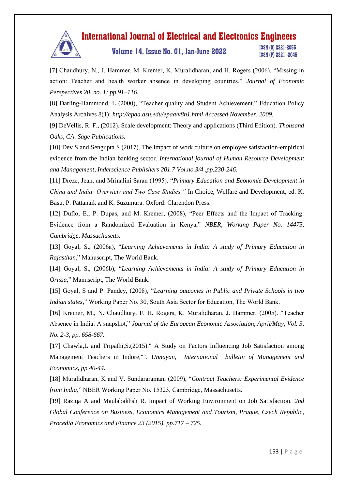

Volume 14, Issue No. 01, Jan-June 2022

ISSN (0) 2321-2055 ISSN (P) 2321 -2045

[7] Chaudhury, N., J. Hammer, M. Kremer, K. Muralidharan, and H. Rogers (2006), "Missing in action: Teacher and health worker absence in developing countries," *Journal of Economic Perspectives 20, no. 1: pp.91–116.* 

[8] Darling-Hammond, L (2000), "Teacher quality and Student Achievement," Education Policy Analysis Archives 8(1): *http://epaa.asu.edu/epaa/v8n1.html Accessed November, 2009.* 

[9] DeVellis, R. F., (2012). Scale development: Theory and applications (Third Edition). *Thousand Oaks, CA*: *Sage Publications.*

[10] Dev S and Sengupta S (2017). The impact of work culture on employee satisfaction-empirical evidence from the Indian banking sector. *International journal of Human Resource Development and Management*, *Inderscience Publishers 201.7 Vol.no.3/4 ,pp.230-246.*

[11] Dreze, Jean, and Mrinalini Saran (1995). "*Primary Education and Economic Development in China and India: Overview and Two Case Studies."* In Choice, Welfare and Development, ed. K. Basu, P. Pattanaik and K. Suzumura. Oxford: Clarendon Press.

[12] Duflo, E., P. Dupas, and M. Kremer, (2008), "Peer Effects and the Impact of Tracking: Evidence from a Randomized Evaluation in Kenya," *NBER, Working Paper No. 14475, Cambridge, Massachusetts.* 

[13] Goyal, S., (2006a), "*Learning Achievements in India: A study of Primary Education in Rajasthan*," Manuscript, The World Bank.

[14] Goyal, S., (2006b), "*Learning Achievements in India: A study of Primary Education in Orissa,*" Manuscript, The World Bank.

[15] Goyal, S and P. Pandey, (2008), "*Learning outcomes in Public and Private Schools in two Indian states*," Working Paper No. 30, South Asia Sector for Education, The World Bank.

[16] Kremer, M., N. Chaudhury, F. H. Rogers, K. Muralidharan, J. Hammer, (2005). "Teacher Absence in India: A snapshot," *Journal of the European Economic Association, April/May, Vol. 3, No. 2-3, pp. 658-667.* 

[17] Chawla,L and Tripathi,S.(2015)." A Study on Factors Influencing Job Satisfaction among Management Teachers in Indore,"". *Unnayan, International bulletin of Management and Economics, pp 40-44.*

[18] Muralidharan, K and V. Sundararaman, (2009), "*Contract Teachers: Experimental Evidence from India*," NBER Working Paper No. 15323, Cambridge, Massachusetts.

[19] Raziqa A and Maulabakhsh R. Impact of Working Environment on Job Satisfaction. *2nd Global Conference on Business, Economics Management and Tourism*, *Prague, Czech Republic, Procedia Economics and Finance 23 (2015), pp.717 – 725.*